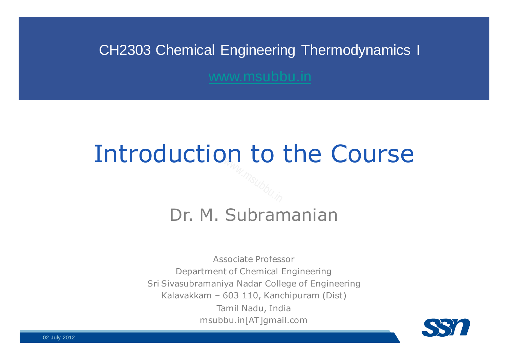#### CH2303 Chemical Engineering Thermodynamics I

# Introduction to the CourseWww.msubbu.in

#### Dr. M. Subramanian

Associate ProfessorDepartment of Chemical EngineeringSri Sivasubramaniya Nadar College of Engineering<br>Kalavakkam 603,110 Kanshinuram (Dist) Kalavakkam – 603 110, Kanchipuram (Dist) Tamil Nadu, Indiamsubbu.in[AT]gmail.com



02-July-2012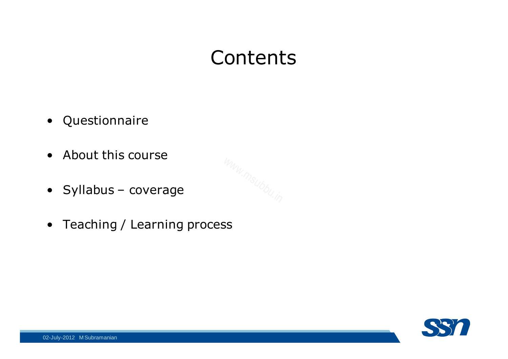### **Contents**

- Questionnaire
- About this course
- Syllabus coverage
- Teaching / Learning process

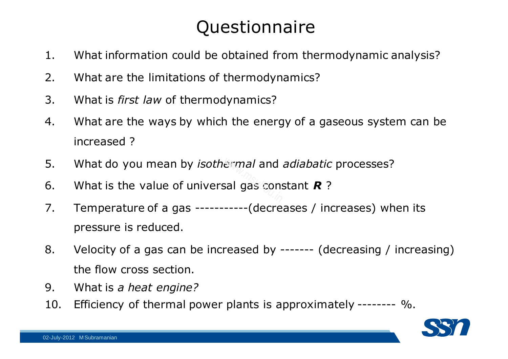#### Questionnaire

- 1. What information could be obtained from thermodynamic analysis?
- 2. What are the limitations of thermodynamics?
- 3. What is *first law* of thermodynamics?
- 4. What are the ways by which the energy of a gaseous system can be increased ?
- 5. What do you mean by *isothermal* and *adiabatic* processes?
- 5. What do you mean by *isothermal* and *adiabatic*<br>6. What is the value of universal gas constant **R**?
- 7. Temperature of a gas ----------- (decreases / increases) when its pressure is reduced.
- 8. Velocity of a gas can be increased by ------- (decreasing / increasing) the flow cross section.
- 9. What is *a heat engine?*
- Efficiency of thermal power plants is approximately --------  $\%$ .

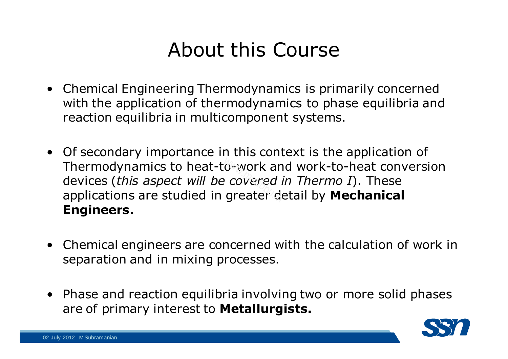### About this Course

- Chemical Engineering Thermodynamics is primarily concerned with the application of thermodynamics to phase equilibria and reaction equilibria in multicomponent systems.
- Of secondary importance in this context is the application of<br>Thermodynamics to heat-towork and work-to-heat conversi Thermodynamics to heat-to-work and work-to-heat conversion<br>devices (*this aspect will be covered in Thermo I*). These<br>applications are studied in greater detail by **Mechanical** devices (*this aspect will be covered in Thermo I*). These applications are studied in greater detail by **Mechanical Engineers.**
- Chemical engineers are concerned with the calculation of work in<br>senaration and in mixing processes separation and in mixing processes.
- Phase and reaction equilibria involving two or more solid phases<br>are of primary interest to **Metallurgists** are of primary interest to **Metallurgists.**

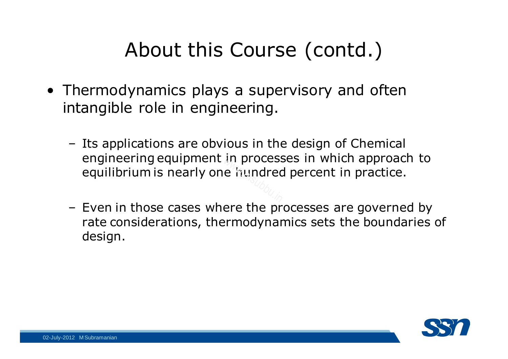## About this Course (contd.)

- Thermodynamics plays a supervisory and often<br>• intangible role in engineering intangible role in engineering.
	- –Its applications are obvious in the design of Chemical<br>engineering equipment in processes in which approach engineering equipment in processes in which approach to equilibrium is nearly one hundred percent in practice.  $e$  fiundred<br> $e$  fiundred
	- Even in those cases where the processes are governed by<br>rate considerations thermodynamics sets the boundaries rate considerations, thermodynamics sets the boundaries of design.

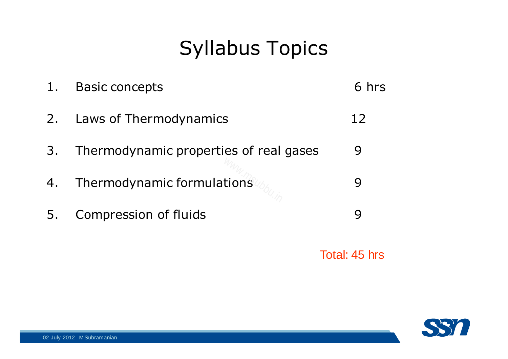## Syllabus Topics

| 1. | <b>Basic concepts</b>                  | 6 hrs |
|----|----------------------------------------|-------|
| 2. | Laws of Thermodynamics                 | 12    |
| 3. | Thermodynamic properties of real gases | 9     |
| 4. | Thermodynamic formulations             | 9     |
| Ъ. | Compression of fluids                  | Q     |
|    |                                        |       |

Total: 45 hrs

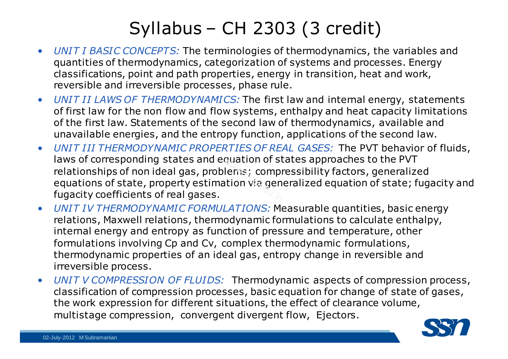#### Syllabus – CH 2303 (3 credit)

- $\bullet$  *UNIT I BASIC CONCEPTS:* The terminologies of thermodynamics, the variables and quantities of thermodynamics, categorization of systems and processes. Energy classifications, point and path properties, energy in transition, heat and work, reversible and irreversible processes, phase rule.
- • *UNIT II LAWS OF THERMODYNAMICS:* The first law and internal energy, statements of first law for the non flow and flow systems, enthalpy and heat capacity limitations of the first law. Statements of the second law of thermodynamics, available and unavailable energies, and the entropy function, applications of the second law.
- $\bullet$  *UNIT III THERMODYNAMIC PROPERTIES OF REAL GASES:* The PVT behavior of fluids, laws of corresponding states and equation of states approaches to the PVT relationships of non ideal gas, problems; compressibility factors, generalized equations of state, property estimation via generalized equation of state; fugacity and fugacity coefficients of real gases.quation or st<br>lems; compi<br>ation via gen
- • *UNIT IV THERMODYNAMIC FORMULATIONS:* Measurable quantities, basic energy relations, Maxwell relations, thermodynamic formulations to calculate enthalpy, internal energy and entropy as function of pressure and temperature, other formulations involving Cp and Cv, complex thermodynamic formulations, thermodynamic properties of an ideal gas, entropy change in reversible and irreversible process.
- • *UNIT V COMPRESSION OF FLUIDS:* Thermodynamic aspects of compression process, classification of compression processes, basic equation for change of state of gases, the work expression for different situations, the effect of clearance volume, multistage compression, convergent divergent flow, Ejectors.

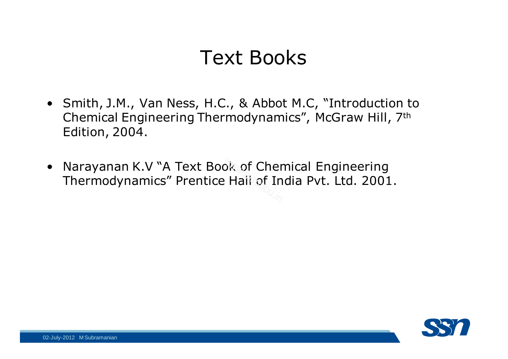### Text Books

- Smith, J.M., Van Ness, H.C., & Abbot M.C, "Introduction to Chemical Engineering Thermodynamics", McGraw Hill, 7th Edition, 2004.
- $\bullet$ Narayanan K.V "A Text Book of Chemical Engineering<br>Thermodynamics" Prentice Hall of India Pvt. Ltd. 2001 Thermodynamics" Prentice Hall of India Pvt. Ltd. 2001.

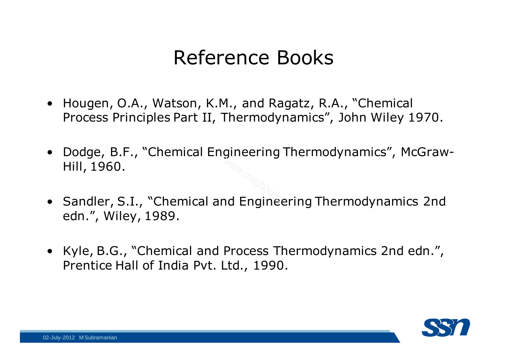#### Reference Books

- Hougen, O.A., Watson, K.M., and Ragatz, R.A., "Chemical Process Principles Part II, Thermodynamics", John Wiley 1970.
- Dodge, B.F., "Chemical Engineering Thermodynamics", McGraw-<br>Hill, 1960.  $m_{W_{\nu_{1}}}\sim m_{\nu_{2}}$ nd Enginee
- Sandler, S.I., "Chemical and Engineering Thermodynamics 2nd<br>edn " Wiley 1989 edn.", Wiley, 1989.
- Kyle, B.G., "Chemical and Process Thermodynamics 2nd edn.", Prentice Hall of India Pvt. Ltd., 1990.

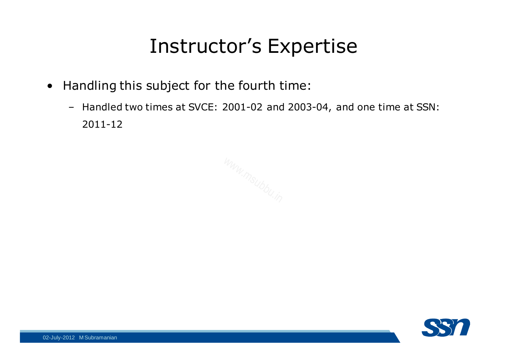### Instructor's Expertise

- Handling this subject for the fourth time:
	- Handled two times at SVCE: 2001-02 and 2003-04, and one time at SSN: 2011-12